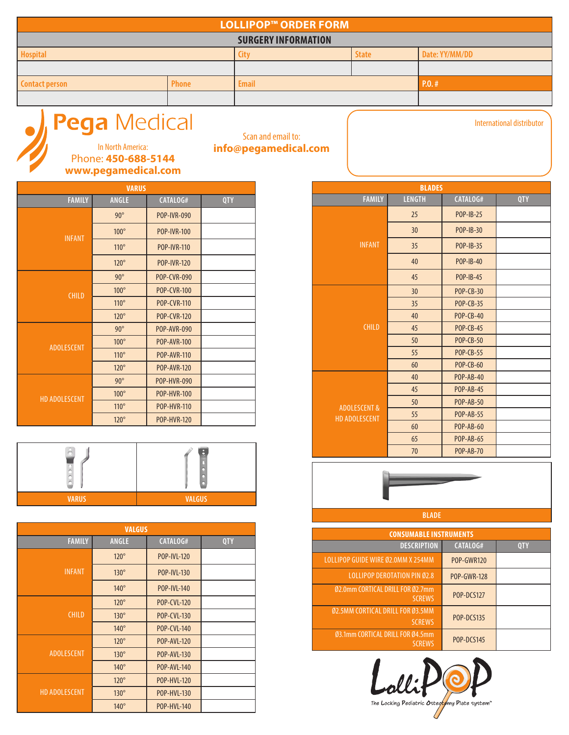| <b>LOLLIPOP™ ORDER FORM</b>                               |              |              |  |       |  |
|-----------------------------------------------------------|--------------|--------------|--|-------|--|
| <b>SURGERY INFORMATION</b>                                |              |              |  |       |  |
| <b>Hospital</b><br>Date: YY/MM/DD<br><b>State</b><br>City |              |              |  |       |  |
|                                                           |              |              |  |       |  |
| <b>Contact person</b>                                     | <b>Phone</b> | <b>Email</b> |  | P.0.# |  |
|                                                           |              |              |  |       |  |



Scan and email to:

| <b>VARUS</b>         |              |                    |     |  |
|----------------------|--------------|--------------------|-----|--|
| <b>FAMILY</b>        | <b>ANGLE</b> | CATALOG#           | QTY |  |
|                      | $90^\circ$   | <b>POP-IVR-090</b> |     |  |
| <b>INFANT</b>        | $100^\circ$  | <b>POP-IVR-100</b> |     |  |
|                      | $110^\circ$  | <b>POP-IVR-110</b> |     |  |
|                      | $120^\circ$  | <b>POP-IVR-120</b> |     |  |
| <b>CHILD</b>         | $90^\circ$   | <b>POP-CVR-090</b> |     |  |
|                      | $100^\circ$  | <b>POP-CVR-100</b> |     |  |
|                      | $110^\circ$  | <b>POP-CVR-110</b> |     |  |
|                      | $120^\circ$  | <b>POP-CVR-120</b> |     |  |
|                      | $90^\circ$   | <b>POP-AVR-090</b> |     |  |
| <b>ADOLESCENT</b>    | $100^\circ$  | <b>POP-AVR-100</b> |     |  |
|                      | $110^\circ$  | <b>POP-AVR-110</b> |     |  |
|                      | $120^\circ$  | <b>POP-AVR-120</b> |     |  |
|                      | $90^\circ$   | <b>POP-HVR-090</b> |     |  |
| <b>HD ADOLESCENT</b> | $100^\circ$  | <b>POP-HVR-100</b> |     |  |
|                      | $110^\circ$  | <b>POP-HVR-110</b> |     |  |
|                      | $120^\circ$  | <b>POP-HVR-120</b> |     |  |

| n<br>$\frac{1}{2}$ |   |
|--------------------|---|
| $\hat{\odot}$      | 8 |

| <b>VALGUS</b>        |              |                    |            |  |
|----------------------|--------------|--------------------|------------|--|
| <b>FAMILY</b>        | <b>ANGLE</b> | CATALOG#           | <b>QTY</b> |  |
|                      | $120^\circ$  | <b>POP-IVL-120</b> |            |  |
| <b>INFANT</b>        | $130^\circ$  | <b>POP-IVL-130</b> |            |  |
|                      | $140^\circ$  | <b>POP-IVL-140</b> |            |  |
| <b>CHILD</b>         | $120^\circ$  | <b>POP-CVL-120</b> |            |  |
|                      | $130^\circ$  | <b>POP-CVL-130</b> |            |  |
|                      | $140^\circ$  | <b>POP-CVL-140</b> |            |  |
|                      | $120^\circ$  | <b>POP-AVL-120</b> |            |  |
| <b>ADOLESCENT</b>    | $130^\circ$  | <b>POP-AVL-130</b> |            |  |
|                      | $140^\circ$  | <b>POP-AVL-140</b> |            |  |
| <b>HD ADOLESCENT</b> | $120^\circ$  | <b>POP-HVL-120</b> |            |  |
|                      | $130^\circ$  | <b>POP-HVL-130</b> |            |  |
|                      | $140^\circ$  | <b>POP-HVL-140</b> |            |  |

| <b>BLADES</b>                                   |                 |                  |            |  |
|-------------------------------------------------|-----------------|------------------|------------|--|
| <b>FAMILY</b>                                   | <b>LENGTH</b>   | CATALOG#         | <b>QTY</b> |  |
|                                                 | 25              | <b>POP-IB-25</b> |            |  |
|                                                 | 30 <sup>2</sup> | POP-IB-30        |            |  |
| <b>INFANT</b>                                   | 35              | <b>POP-IB-35</b> |            |  |
|                                                 | 40              | <b>POP-IB-40</b> |            |  |
|                                                 | 45              | <b>POP-IB-45</b> |            |  |
|                                                 | 30 <sup>°</sup> | <b>POP-CB-30</b> |            |  |
| <b>CHILD</b>                                    | 35              | <b>POP-CB-35</b> |            |  |
|                                                 | 40              | <b>POP-CB-40</b> |            |  |
|                                                 | 45              | <b>POP-CB-45</b> |            |  |
|                                                 | 50              | <b>POP-CB-50</b> |            |  |
|                                                 | 55              | <b>POP-CB-55</b> |            |  |
|                                                 | 60              | <b>POP-CB-60</b> |            |  |
|                                                 | 40              | <b>POP-AB-40</b> |            |  |
|                                                 | 45              | <b>POP-AB-45</b> |            |  |
| <b>ADOLESCENT &amp;</b><br><b>HD ADOLESCENT</b> | 50              | <b>POP-AB-50</b> |            |  |
|                                                 | 55              | <b>POP-AB-55</b> |            |  |
|                                                 | 60              | <b>POP-AB-60</b> |            |  |
|                                                 | 65              | <b>POP-AB-65</b> |            |  |
|                                                 | 70              | <b>POP-AB-70</b> |            |  |

International distributor



**BLADE**

| <b>CONSUMABLE INSTRUMENTS</b>                     |                    |     |  |
|---------------------------------------------------|--------------------|-----|--|
| <b>DESCRIPTION</b>                                | CATALOG#           | 0TY |  |
| LOLLIPOP GUIDE WIRE Ø2.0MM X 254MM                | <b>POP-GWR120</b>  |     |  |
| <b>LOLLIPOP DEROTATION PIN Ø2.8</b>               | <b>POP-GWR-128</b> |     |  |
| Ø2.0mm CORTICAL DRILL FOR Ø2.7mm<br><b>SCREWS</b> | <b>POP-DCS127</b>  |     |  |
| 02.5MM CORTICAL DRILL FOR 03.5MM<br><b>SCREWS</b> | <b>POP-DCS135</b>  |     |  |
| 03.1mm CORTICAL DRILL FOR 04.5mm<br><b>SCREWS</b> | POP-DCS145         |     |  |

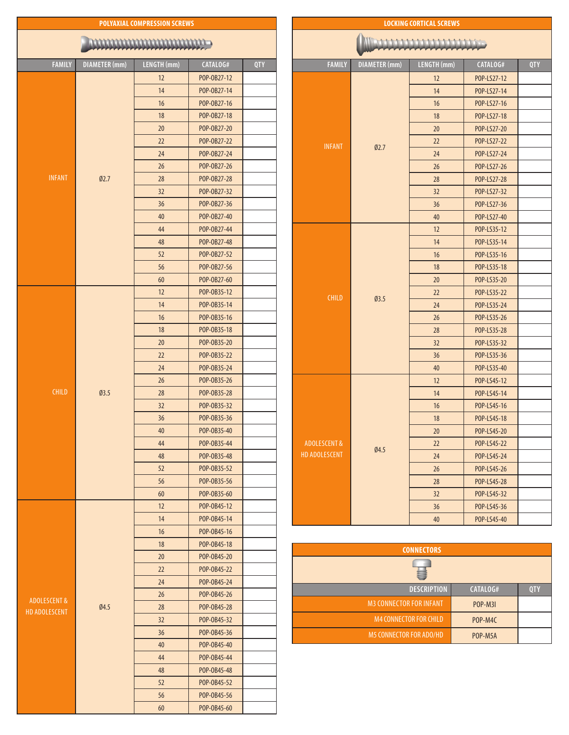| ,,,,,,,,,,,,,,,,,,,,,,,,,,,,,,                  |                      |             |             |            |
|-------------------------------------------------|----------------------|-------------|-------------|------------|
| <b>FAMILY</b>                                   | <b>DIAMETER</b> (mm) | LENGTH (mm) | CATALOG#    | <b>QTY</b> |
|                                                 |                      | 12          | POP-0B27-12 |            |
|                                                 |                      | 14          | POP-0B27-14 |            |
|                                                 |                      | 16          | POP-0B27-16 |            |
|                                                 |                      | 18          | POP-0B27-18 |            |
|                                                 |                      | 20          | POP-0B27-20 |            |
|                                                 |                      | 22          | POP-0B27-22 |            |
|                                                 |                      | 24          | POP-0B27-24 |            |
|                                                 |                      | 26          | POP-0B27-26 |            |
| <b>INFANT</b>                                   | Ø2.7                 | 28          | POP-0B27-28 |            |
|                                                 |                      | 32          | POP-0B27-32 |            |
|                                                 |                      | 36          | POP-0B27-36 |            |
|                                                 |                      | 40          | POP-0B27-40 |            |
|                                                 |                      | 44          | POP-0B27-44 |            |
|                                                 |                      | 48          | POP-0B27-48 |            |
|                                                 |                      | 52          | POP-0B27-52 |            |
|                                                 |                      | 56          | POP-0B27-56 |            |
|                                                 |                      | 60          |             |            |
|                                                 |                      | 12          | POP-0B27-60 |            |
|                                                 |                      | 14          | POP-0B35-12 |            |
|                                                 |                      |             | POP-0B35-14 |            |
|                                                 |                      | 16          | POP-0B35-16 |            |
|                                                 | Ø3.5                 | 18          | POP-0B35-18 |            |
|                                                 |                      | 20          | POP-0B35-20 |            |
|                                                 |                      | 22          | POP-0B35-22 |            |
|                                                 |                      | 24          | POP-0B35-24 |            |
|                                                 |                      | 26          | POP-0B35-26 |            |
| <b>CHILD</b>                                    |                      | 28          | POP-0B35-28 |            |
|                                                 |                      | 32          | POP-0B35-32 |            |
|                                                 |                      | 36          | POP-0B35-36 |            |
|                                                 |                      | 40          | POP-0B35-40 |            |
|                                                 |                      | 44          | POP-0B35-44 |            |
|                                                 |                      | 48          | POP-0B35-48 |            |
|                                                 |                      | 52          | POP-0B35-52 |            |
|                                                 |                      | 56          | POP-0B35-56 |            |
|                                                 |                      | 60          | POP-0B35-60 |            |
|                                                 |                      | 12          | POP-0B45-12 |            |
|                                                 |                      | 14          | POP-0B45-14 |            |
|                                                 |                      | 16          | POP-0B45-16 |            |
|                                                 |                      | 18          | POP-0B45-18 |            |
|                                                 |                      | 20          | POP-0B45-20 |            |
|                                                 |                      | 22          | POP-0B45-22 |            |
| <b>ADOLESCENT &amp;</b><br><b>HD ADOLESCENT</b> |                      | 24          | POP-0B45-24 |            |
|                                                 |                      | 26          | POP-0B45-26 |            |
|                                                 | 04.5                 | 28          | POP-0B45-28 |            |
|                                                 |                      | 32          | POP-0B45-32 |            |
|                                                 |                      | 36          | POP-0B45-36 |            |
|                                                 |                      | 40          | POP-0B45-40 |            |
|                                                 |                      | 44          | POP-0B45-44 |            |
|                                                 |                      | 48          | POP-0B45-48 |            |
|                                                 |                      | 52          | POP-0B45-52 |            |
|                                                 |                      | 56          | POP-0B45-56 |            |
|                                                 |                      | 60          | POP-0B45-60 |            |

**POLYAXIAL COMPRESSION SCREWS**

| <b>FAMILY</b>           | <b>DIAMETER</b> (mm) | LENGTH (mm) | CATALOG#    | <b>QTY</b> |  |
|-------------------------|----------------------|-------------|-------------|------------|--|
|                         |                      | 12          | POP-LS27-12 |            |  |
|                         |                      | 14          | POP-LS27-14 |            |  |
|                         |                      | 16          | POP-LS27-16 |            |  |
|                         |                      | 18          | POP-LS27-18 |            |  |
|                         |                      | 20          | POP-LS27-20 |            |  |
| <b>INFANT</b>           |                      | 22          | POP-LS27-22 |            |  |
|                         | Ø2.7                 | 24          | POP-LS27-24 |            |  |
|                         |                      | 26          | POP-LS27-26 |            |  |
|                         |                      | 28          | POP-LS27-28 |            |  |
|                         |                      | 32          | POP-LS27-32 |            |  |
|                         |                      | 36          | POP-LS27-36 |            |  |
|                         |                      | 40          | POP-LS27-40 |            |  |
|                         |                      | 12          | POP-LS35-12 |            |  |
|                         |                      | 14          | POP-LS35-14 |            |  |
|                         |                      | 16          | POP-LS35-16 |            |  |
| <b>CHILD</b>            |                      | 18          | POP-LS35-18 |            |  |
|                         |                      | 20          | POP-LS35-20 |            |  |
|                         |                      | 22          | POP-LS35-22 |            |  |
|                         | Ø3.5                 | 24          | POP-LS35-24 |            |  |
|                         |                      | 26          | POP-LS35-26 |            |  |
|                         |                      | 28          | POP-LS35-28 |            |  |
|                         |                      | 32          | POP-LS35-32 |            |  |
|                         |                      | 36          | POP-LS35-36 |            |  |
|                         |                      | 40          | POP-LS35-40 |            |  |
|                         |                      | 12          | POP-LS45-12 |            |  |
|                         |                      | 14          | POP-LS45-14 |            |  |
|                         |                      | 16          | POP-LS45-16 |            |  |
|                         |                      | 18          | POP-LS45-18 |            |  |
|                         |                      | 20          | POP-LS45-20 |            |  |
| <b>ADOLESCENT &amp;</b> |                      | 22          | POP-LS45-22 |            |  |
| HD ADOLESCENT           | Ø4.5                 | 24          | POP-LS45-24 |            |  |
|                         |                      | 26          | POP-LS45-26 |            |  |
|                         |                      | 28          | POP-LS45-28 |            |  |
|                         |                      | 32          | POP-LS45-32 |            |  |
|                         |                      | 36          | POP-LS45-36 |            |  |
|                         |                      | $40\,$      | POP-LS45-40 |            |  |

**LOCKING CORTICAL SCREWS**

| <b>CONNECTORS</b>              |                |     |
|--------------------------------|----------------|-----|
| 믈                              |                |     |
| <b>DESCRIPTION</b>             | CATALOG#       | 0TY |
| <b>M3 CONNECTOR FOR INFANT</b> | <b>POP-M3I</b> |     |
| <b>M4 CONNECTOR FOR CHILD</b>  | POP-M4C        |     |
| <b>M5 CONNECTOR FOR ADO/HD</b> | POP-M5A        |     |